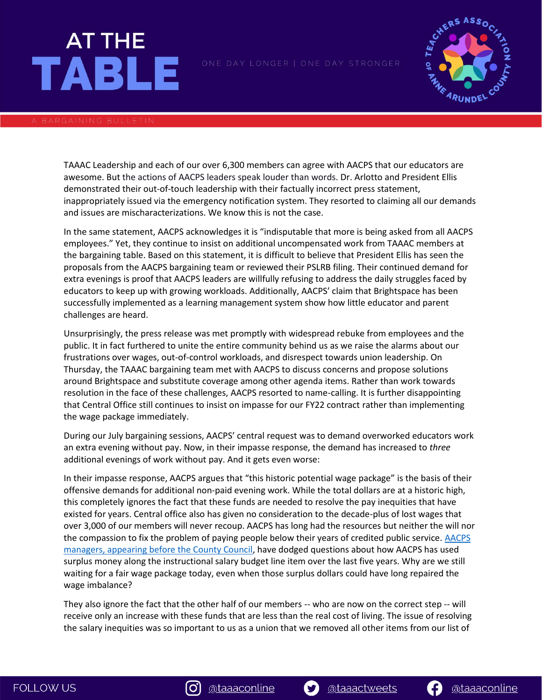# **AT THE TABLE**



TAAAC Leadership and each of our over 6,300 members can agree with AACPS that our educators are awesome. But the actions of AACPS leaders speak louder than words. Dr. Arlotto and President Ellis demonstrated their out-of-touch leadership with their factually incorrect press statement, inappropriately issued via the emergency notification system. They resorted to claiming all our demands and issues are mischaracterizations. We know this is not the case.

In the same statement, AACPS acknowledges it is "indisputable that more is being asked from all AACPS employees." Yet, they continue to insist on additional uncompensated work from TAAAC members at the bargaining table. Based on this statement, it is difficult to believe that President Ellis has seen the proposals from the AACPS bargaining team or reviewed their PSLRB filing. Their continued demand for extra evenings is proof that AACPS leaders are willfully refusing to address the daily struggles faced by educators to keep up with growing workloads. Additionally, AACPS' claim that Brightspace has been successfully implemented as a learning management system show how little educator and parent challenges are heard.

Unsurprisingly, the press release was met promptly with widespread rebuke from employees and the public. It in fact furthered to unite the entire community behind us as we raise the alarms about our frustrations over wages, out-of-control workloads, and disrespect towards union leadership. On Thursday, the TAAAC bargaining team met with AACPS to discuss concerns and propose solutions around Brightspace and substitute coverage among other agenda items. Rather than work towards resolution in the face of these challenges, AACPS resorted to name-calling. It is further disappointing that Central Office still continues to insist on impasse for our FY22 contract rather than implementing the wage package immediately.

During our July bargaining sessions, AACPS' central request was to demand overworked educators work an extra evening without pay. Now, in their impasse response, the demand has increased to *three* additional evenings of work without pay. And it gets even worse:

In their impasse response, AACPS argues that "this historic potential wage package" is the basis of their offensive demands for additional non-paid evening work. While the total dollars are at a historic high, this completely ignores the fact that these funds are needed to resolve the pay inequities that have existed for years. Central office also has given no consideration to the decade-plus of lost wages that over 3,000 of our members will never recoup. AACPS has long had the resources but neither the will nor the compassion to fix the problem of paying people below their years of credited public service. [AACPS](https://msea-my.sharepoint.com/:v:/g/personal/amenas_mseanea_org/EcGjIwFwaTNEi6AdFZVYWYMBd5zTSG0jJMOPmAdi7t_XpA?e=NKnwRz)  [managers, appearing before the County Council,](https://msea-my.sharepoint.com/:v:/g/personal/amenas_mseanea_org/EcGjIwFwaTNEi6AdFZVYWYMBd5zTSG0jJMOPmAdi7t_XpA?e=NKnwRz) have dodged questions about how AACPS has used surplus money along the instructional salary budget line item over the last five years. Why are we still waiting for a fair wage package today, even when those surplus dollars could have long repaired the wage imbalance?

They also ignore the fact that the other half of our members -- who are now on the correct step -- will receive only an increase with these funds that are less than the real cost of living. The issue of resolving the salary inequities was so important to us as a union that we removed all other items from our list of